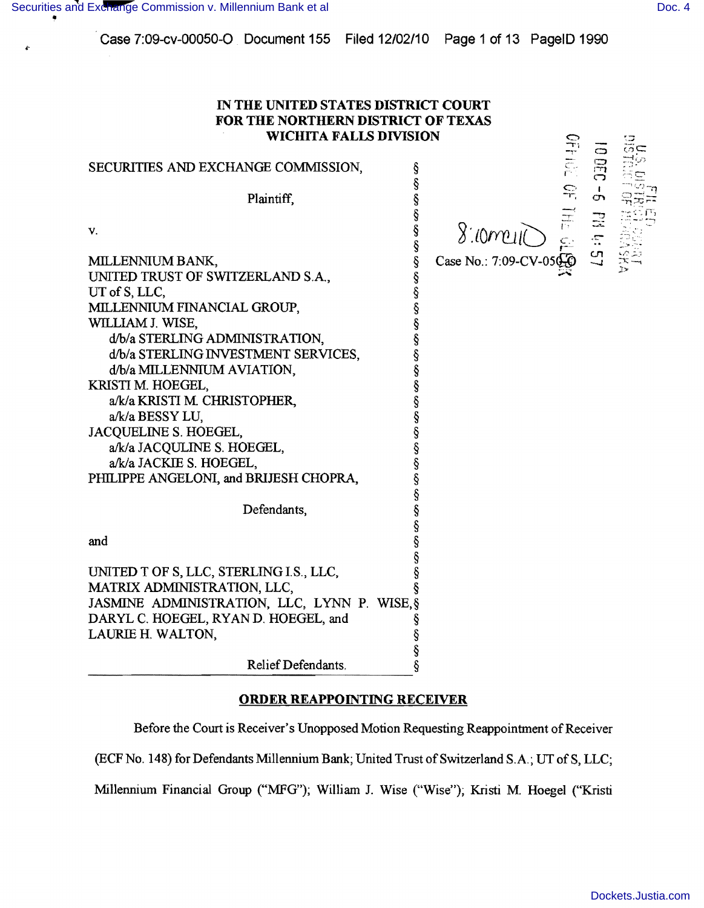$\dot{\mathbf{r}}$ 

| IN THE UNITED STATES DISTRICT COURT<br>FOR THE NORTHERN DISTRICT OF TEXAS<br><b>WICHITA FALLS DIVISION</b>                                                                                                                                                                                                                                                             |                                                                                                                                                                                                                                              |
|------------------------------------------------------------------------------------------------------------------------------------------------------------------------------------------------------------------------------------------------------------------------------------------------------------------------------------------------------------------------|----------------------------------------------------------------------------------------------------------------------------------------------------------------------------------------------------------------------------------------------|
| SECURITIES AND EXCHANGE COMMISSION,                                                                                                                                                                                                                                                                                                                                    | $\Xi$<br>ş                                                                                                                                                                                                                                   |
| Plaintiff,                                                                                                                                                                                                                                                                                                                                                             | $2.10$<br>$2.10$<br>$2.10$<br>$2.10$<br>$2.10$<br>$2.10$<br>$2.10$<br>$2.10$<br>$2.10$<br>$2.10$<br>$2.10$<br>$2.10$<br>$2.10$<br>$2.10$<br>$2.10$<br>$2.10$<br>$2.10$<br>$2.10$<br>$2.10$<br>$2.10$<br>$2.10$<br>$2.10$<br>$2.10$<br>$2.10$ |
| V.                                                                                                                                                                                                                                                                                                                                                                     | ş<br>Ş                                                                                                                                                                                                                                       |
| MILLENNIUM BANK,<br>UNITED TRUST OF SWITZERLAND S.A.,<br>UT of S, LLC,<br>MILLENNIUM FINANCIAL GROUP,<br>WILLIAM J. WISE,<br>d/b/a STERLING ADMINISTRATION,<br>d/b/a STERLING INVESTMENT SERVICES,<br>d/b/a MILLENNIUM AVIATION,<br>KRISTI M. HOEGEL,<br>a/k/a KRISTI M. CHRISTOPHER,<br>a/k/a BESSY LU,<br><b>JACQUELINE S. HOEGEL,</b><br>a/k/a JACQULINE S. HOEGEL, | ş<br>Ş<br>ş<br>Ş<br>ş<br>ş<br>ş<br>ş<br>ş<br>ş<br>Ş<br>§<br>Ş                                                                                                                                                                                |
| a/k/a JACKIE S. HOEGEL,<br>PHILIPPE ANGELONI, and BRIJESH CHOPRA,                                                                                                                                                                                                                                                                                                      | ş<br>Ş<br>Ş                                                                                                                                                                                                                                  |
| Defendants,                                                                                                                                                                                                                                                                                                                                                            | Ş                                                                                                                                                                                                                                            |
| and                                                                                                                                                                                                                                                                                                                                                                    |                                                                                                                                                                                                                                              |
| UNITED T OF S, LLC, STERLING I.S., LLC,<br>MATRIX ADMINISTRATION, LLC,<br>JASMINE ADMINISTRATION, LLC, LYNN P. WISE, §<br>DARYL C. HOEGEL, RYAN D. HOEGEL, and<br>LAURIE H. WALTON,                                                                                                                                                                                    |                                                                                                                                                                                                                                              |
| Relief Defendants.                                                                                                                                                                                                                                                                                                                                                     |                                                                                                                                                                                                                                              |

## ORDER REAPPOINTING RECEIVER

Before the Court is Receiver's Unopposed Motion Requesting Reappointment of Receiver

(ECF No. 148) for Defendants Millennium Bank; United Trust of Switzerland S.A.; UT of S, LLC;

Millennium Financial Group ("MFG"); William 1. Wise ("Wise"); Kristi M. Hoegel ("Kristi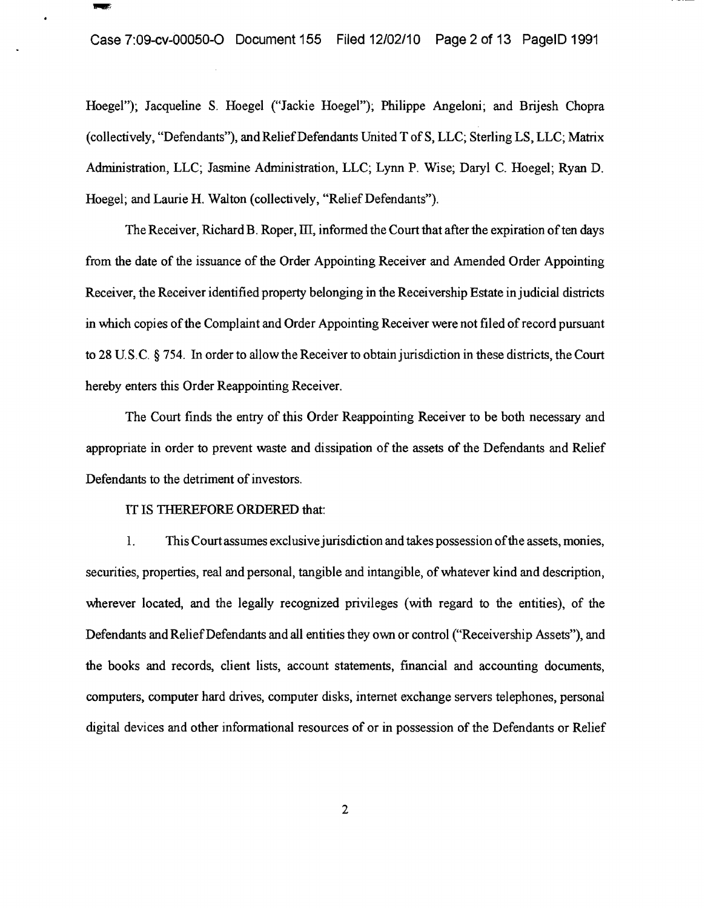Hoegel"); Jacqueline S. Hoegel ("Jackie Hoegel"); Philippe Angeloni; and Brijesh Chopra (collectively, "Defendants"), and Relief Defendants United T of S, LLC; Sterling LS, LLC; Matrix Administration, LLC; Jasmine Administration, LLC; Lynn P. Wise; Daryl C. Hoegel; Ryan D. Hoegel; and Laurie H. Walton (collectively, "Relief Defendants").

The Receiver, Richard B. Roper, III, informed the Court that after the expiration of ten days from the date of the issuance of the Order Appointing Receiver and Amended Order Appointing Receiver, the Receiver identified property belonging in the Receivership Estate in judicial districts in which copies of the Complaint and Order Appointing Receiver were not filed of record pursuant to 28 U.S.C. § 754. In order to allow the Receiver to obtain jurisdiction in these districts, the Court hereby enters this Order Reappointing Receiver.

The Court finds the entry of this Order Reappointing Receiver to be both necessary and appropriate in order to prevent waste and dissipation of the assets of the Defendants and Relief Defendants to the detriment of investors.

## IT IS THEREFORE ORDERED that:

**Service** 

1. This Court assumes exclusive jurisdiction and takes possession of the assets, monies, securities, properties, real and personal, tangible and intangible, of whatever kind and description, wherever located, and the legally recognized privileges (with regard to the entities), of the Defendants and Relief Defendants and all entities they own or control ("Receivership Assets"), and the books and records, client lists, account statements, financial and accounting documents, computers, computer hard drives, computer disks, internet exchange servers telephones, personal digital devices and other informational resources of or in possession of the Defendants or Relief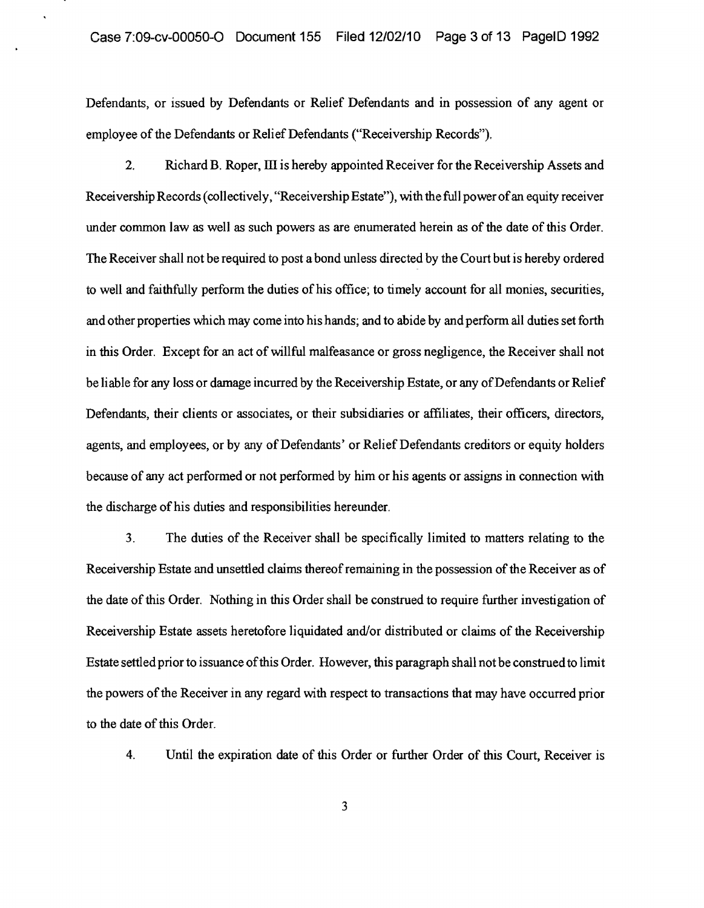Defendants, or issued by Defendants or Relief Defendants and in possession of any agent or employee of the Defendants or Relief Defendants ("Receivership Records").

2. Richard B. Roper, III is hereby appointed Receiver for the Receivership Assets and Receivership Records (collectively, "Receivership Estate"), with the full powerofan equity receiver under common law as well as such powers as are enumerated herein as of the date of this Order. The Receiver shall not be required to post a bond unless directed by the Court but is hereby ordered to well and faithfully perform the duties of his office; to timely account for all monies, securities, and other properties which may come into his hands; and to abide by and perform all duties set forth in this Order. Except for an act of willful malfeasance or gross negligence, the Receiver shall not be liable for any loss or damage incurred by the Receivership Estate, or any of Defendants or Relief Defendants, their clients or associates, or their subsidiaries or affiliates, their officers, directors, agents, and employees, or by any of Defendants' or Relief Defendants creditors or equity holders because of any act performed or not performed by him or his agents or assigns in connection with the discharge of his duties and responsibilities hereunder.

3. The duties of the Receiver shall be specifically limited to matters relating to the Receivership Estate and unsettled claims thereof remaining in the possession of the Receiver as of the date ofthis Order. Nothing in this Order shall be construed to require further investigation of Receivership Estate assets heretofore liquidated and/or distributed or claims of the Receivership Estate settled prior to issuance ofthis Order. However, this paragraph shall not be construed to limit the powers of the Receiver in any regard with respect to transactions that may have occurred prior to the date of this Order.

4. Until the expiration date of this Order or further Order of this Court, Receiver is

3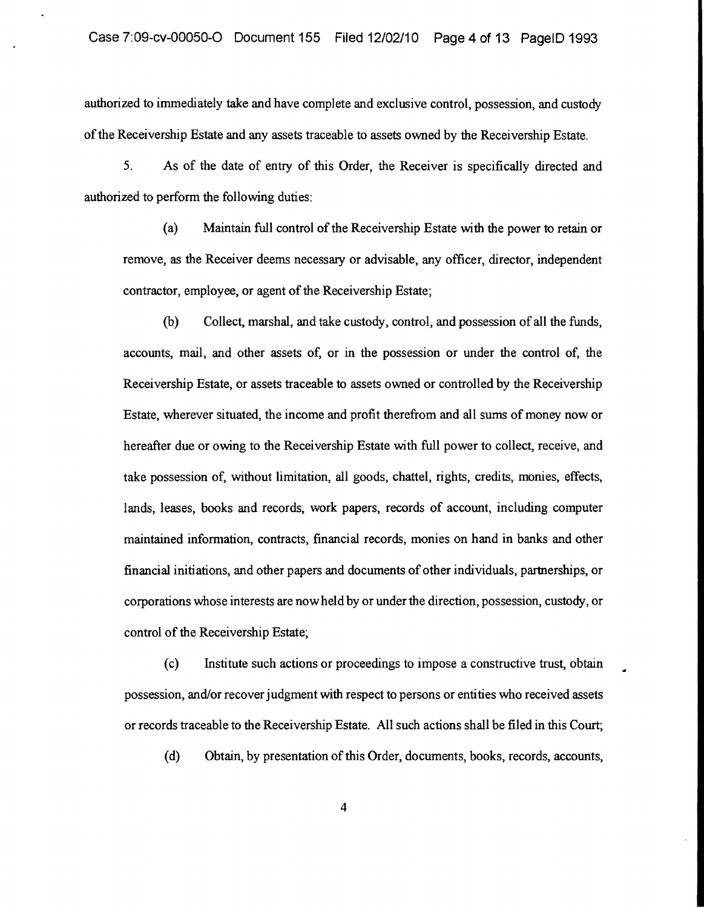authorized to immediately take and have complete and exclusive control, possession, and custody of the Receivership Estate and any assets traceable to assets owned by the Receivership Estate.

5. As of the date of entry of this Order, the Receiver is specifically directed and authorized to perform the following duties:

(a) Maintain full control of the Receivership Estate with the power to retain or remove, as the Receiver deems necessary or advisable, any officer, director, independent contractor, employee, or agent of the Receivership Estate;

(b) Collect, marshal, and take custody, control, and possession of all the funds, accounts, mail, and other assets of, or in the possession or under the control of, the Receivership Estate, or assets traceable to assets owned or controlled by the Receivership Estate, wherever situated, the income and profit therefrom and all sums of money now or hereafter due or owing to the Receivership Estate with full power to collect, receive, and take possession of, without limitation, all goods, chattel, rights, credits, monies, effects, lands, leases, books and records, work papers, records of account, including computer maintained information, contracts, financial records, monies on hand in banks and other financial initiations, and other papers and documents ofother individuals, partnerships, or corporations whose interests are now held by or under the direction, possession, custody, or control of the Receivership

(c) Institute such actions or proceedings to impose a constructive trust, obtain possession, and/or recover judgment with respect to persons or entities who received assets or records traceable to the Receivership Estate. All such actions shall be filed in this

(d) Obtain, by presentation of this Order, documents, books, records, accounts,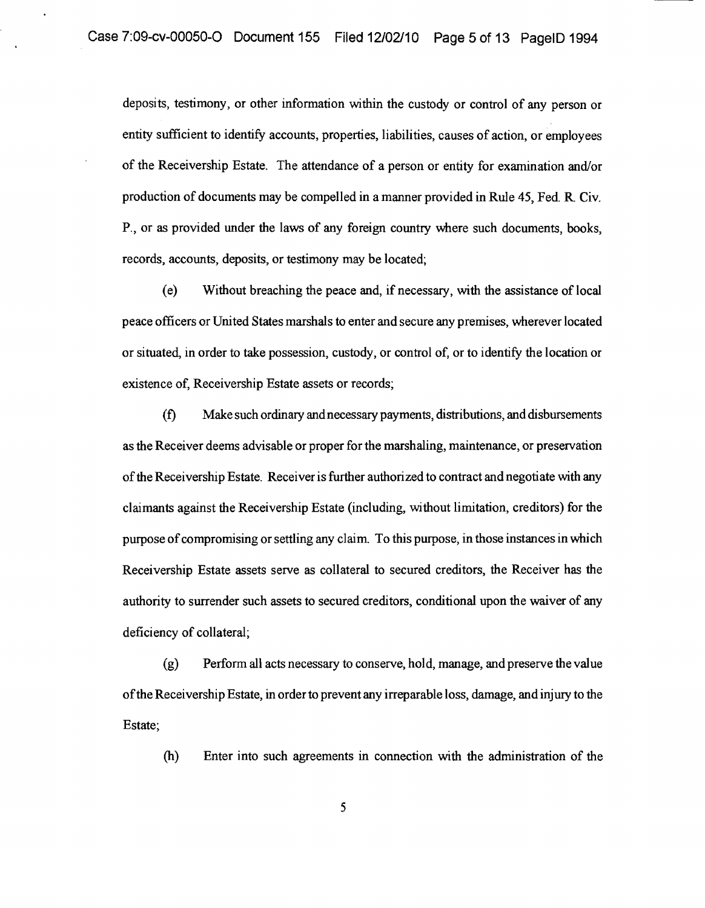deposits, testimony, or other information within the custody or control of any person or entity sufficient to identify accounts, properties, liabilities, causes of action, or employees of the Receivership Estate. The attendance of a person or entity for examination and/or production of documents may be compelled in a manner provided in Rule 45, Fed. R Civ. P., or as provided under the laws of any foreign country where such documents, books, records, accounts, deposits, or testimony may be located;

(e) Without breaching the peace and, if necessary, with the assistance of local peace officers or United States marshals to enter and secure any premises, wherever located or situated, in order to take possession, custody, or control of, or to identify the location or existence of, Receivership Estate assets or records;

(f) Make such ordinary and necessary payments, distributions, and disbursements as the Receiver deems advisable or proper for the marshaling, maintenance, or preservation ofthe Receivership Estate. Receiver is further authorized to contract and negotiate with any claimants against the Receivership Estate (including, without limitation, creditors) for the purpose ofcompromising or settling any claim To this purpose, in those instances in which Receivership Estate assets serve as collateral to secured creditors, the Receiver has the authority to surrender such assets to secured creditors, conditional upon the waiver of any deficiency of collateral;

(g) Perform all acts necessary to conserve, hold, manage, and preserve the value ofthe Receivership Estate, in order to prevent any irreparable loss, damage, and injury to the Estate;

(h) Enter into such agreements in connection with the administration of the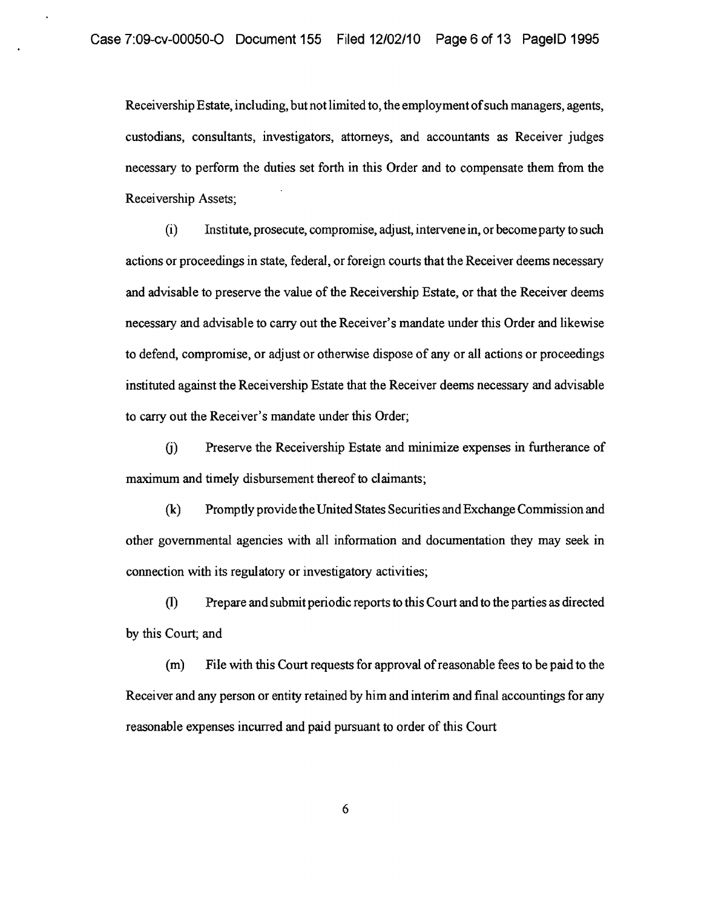Receivership Estate, including, but not limited to, the employment ofsuch managers, agents, custodians, consultants, investigators, attorneys, and accountants as Receiver judges necessary to perform the duties set forth in this Order and to compensate them from the Receivership Assets;

(i) Institute, prosecute, compromise, adjust, intervene in, or become party to such actions or proceedings in state, federal, or foreign courts that the Receiver deems necessary and advisable to preserve the value of the Receivership Estate, or that the Receiver deems necessary and advisable to carry out the Receiver's mandate under this Order and likewise to defend, compromise, or adjust or otherwise dispose of any or all actions or proceedings instituted against the Receivership Estate that the Receiver deems necessary and advisable to carry out the Receiver's mandate under this Order;

G) Preserve the Receivership Estate and minimize expenses in furtherance of maximum and timely disbursement thereof to claimants;

(k) Promptly provide the United States Securities and Exchange Commission and other governmental agencies with all information and documentation they may seek in connection with its regulatory or investigatory activities;

(1) Prepare and submit periodic reports to this Court and to the parties as directed by this Court; and

(m) File with this Court requests for approval ofreasonable fees to be paid to the Receiver and any person or entity retained by him and interim and final accountings for any reasonable expenses incurred and paid pursuant to order of this Court

6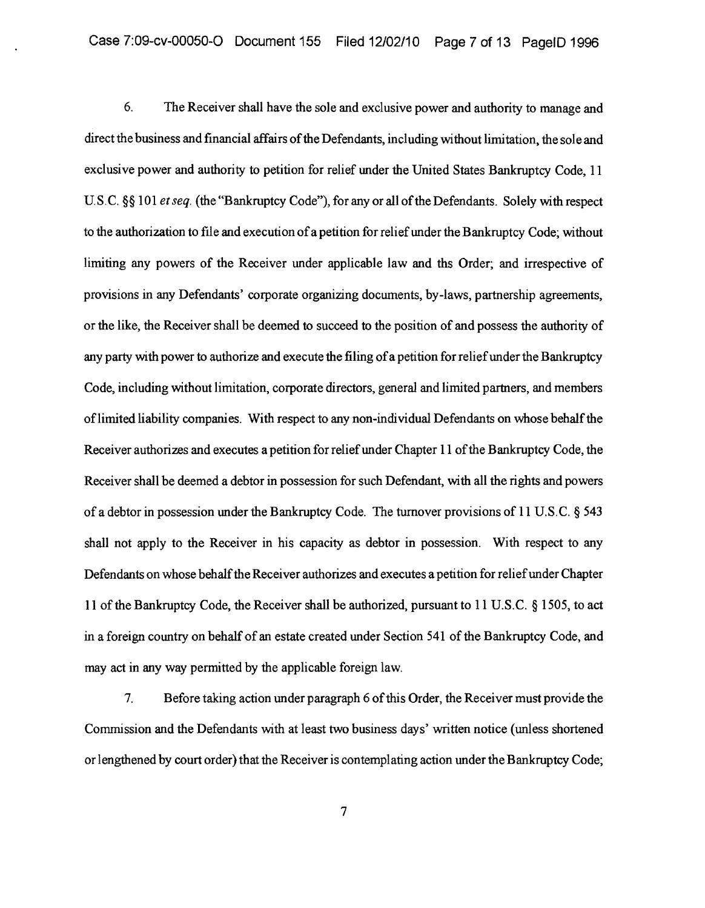6. The Receiver shall have the sole and exclusive power and authority to manage and direct the business and financial affairs of the Defendants, including without limitation, the sole and exclusive power and authority to petition for relief under the United States Bankruptcy Code, 11 U.S.C. §§ 101 *et seq.* (the "Bankruptcy Code"), for any or all of the Defendants. Solely with respect to the authorization to file and execution ofa petition for relief under the Bankruptcy Code; without limiting any powers of the Receiver under applicable law and ths Order; and irrespective of provisions in any Defendants' corporate organizing documents, by-laws, partnership agreements, or the like, the Receiver shall be deemed to succeed to the position of and possess the authority of any party with power to authorize and execute the filing ofa petition for relief under the Bankruptcy Code, including without limitation, corporate directors, general and limited partners, and members oflimited liability companies. With respect to any non-individual Defendants on whose behalf the Receiver authorizes and executes a petition for relief under Chapter 11 ofthe Bankruptcy Code, the Receiver shall be deemed a debtor in possession for such Defendant, with all the rights and powers of a debtor in possession under the Bankruptcy Code. The turnover provisions of 11 U.S.c. § 543 shall not apply to the Receiver in his capacity as debtor in possession. With respect to any Defendants on whose behalf the Receiver authorizes and executes a petition for reliefunder Chapter 11 ofthe Bankruptcy Code, the Receiver shall be authorized, pursuant to 11 U.S.C. § 1505, to act in a foreign country on behalf of an estate created under Section 541 of the Bankruptcy Code, and may act in any way permitted by the applicable foreign law.

7. Before taking action under paragraph 6 of this Order, the Receiver must provide the Commission and the Defendants with at least two business days' written notice (unless shortened or lengthened by court order) that the Receiver is contemplating action under the Bankruptcy Code;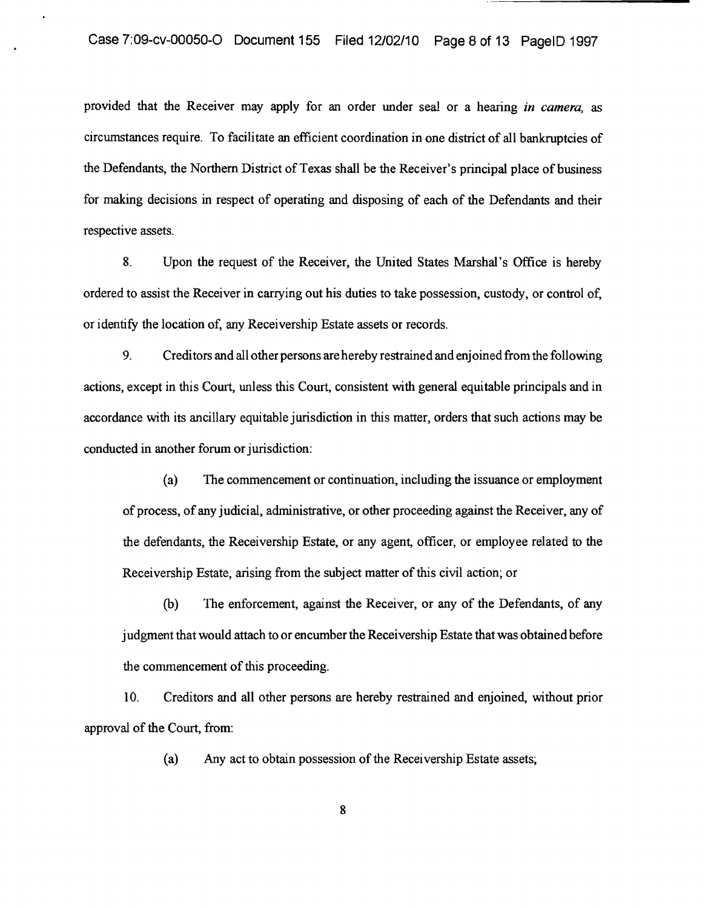provided that the Receiver may apply for an order under seal or a hearing *in camera*, as circumstances require. To facilitate an efficient coordination in one district of all bankruptcies of the Defendants, the Northern District of Texas shall be the Receiver's principal place of business for making decisions in respect of operating and disposing of each of the Defendants and their respective assets.

8. Upon the request of the Receiver, the United States Marshal's Office is hereby ordered to assist the Receiver in carrying out his duties to take possession, custody, or control of, or identify the location of, any Receivership Estate assets or records.

9. Creditors and all other persons are hereby restrained and enjoined from the following actions, except in this Court, unless this Court, consistent with general equitable principals and in accordance with its ancillary equitable jurisdiction in this matter, orders that such actions may be conducted in another forum or jurisdiction:

(a) The commencement or continuation, including the issuance or employment of process, of any judicial, administrative, or other proceeding against the Receiver, any of the defendants, the Receivership Estate, or any agent, officer, or employee related to the Receivership Estate, arising from the subject matter of this civil action; or

(b) The enforcement, against the Receiver, or any of the Defendants, of any judgment that would attach to or encumber the Receivership Estate that was obtained before the commencement of this proceeding.

10. Creditors and all other persons are hereby restrained and enjoined, without prior approval of the Court, from:

(a) Any act to obtain possession of the Receivership Estate assets;

8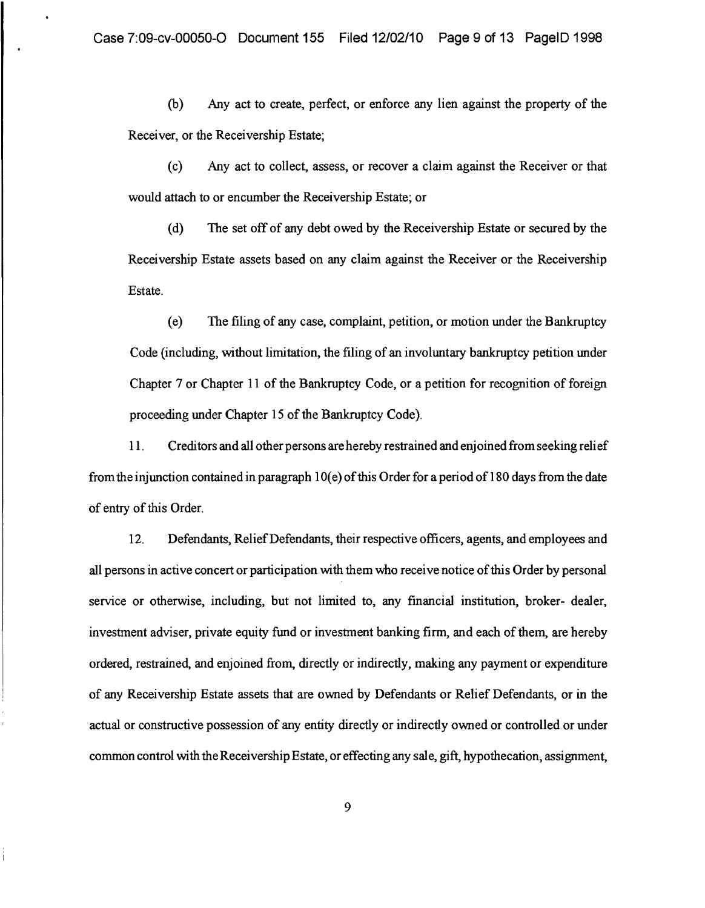(b) Any act to create, perfect, or enforce any lien against the property of the Receiver, or the Receivership Estate;

(c) Any act to collect, assess, or recover a claim against the Receiver or that would attach to or encumber the Receivership Estate; or

(d) The set off of any debt owed by the Receivership Estate or secured by the Receivership Estate assets based on any claim against the Receiver or the Receivership Estate.

(e) The filing of any case, complaint, petition, or motion under the Bankruptcy Code (including, without limitation, the filing of an involuntary bankruptcy petition under Chapter 7 or Chapter 11 of the Bankruptcy Code, or a petition for recognition of foreign proceeding under Chapter 15 of the Bankruptcy Code).

11. Creditors and all other persons are hereby restrained and enjoined from seeking relief from the injunction contained in paragraph  $10(e)$  of this Order for a period of 180 days from the date of entry of this Order.

12. Defendants, Relief Defendants, their respective officers, agents, and employees and all persons in active concert or participation with them who receive notice ofthis Order by personal service or otherwise, including, but not limited to, any financial institution, broker- dealer, investment adviser, private equity fund or investment banking firm, and each of them, are hereby ordered, restrained, and enjoined from, directly or indirectly, making any payment or expenditure of any Receivership Estate assets that are owned by Defendants or Relief Defendants, or in the actual or constructive possession of any entity directly or indirectly owned or controlled or under common control with the Receivership Estate, or effecting any sale, gift, hypothecation, assignment,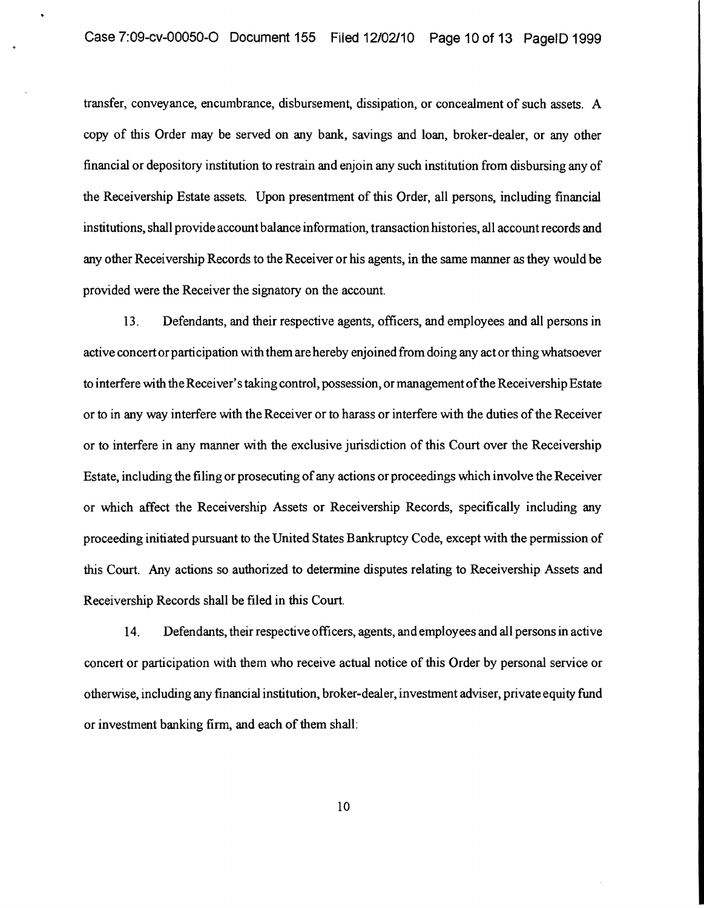transfer, conveyance, encumbrance, disbursement, dissipation, or concealment of such assets. A copy of this Order may be served on any bank, savings and loan, broker-dealer, or any other financial or depository institution to restrain and enjoin any such institution from disbursing any of the Receivership Estate assets. Upon presentment of this Order, all persons, including financial institutions, shall provide account balance information, transaction histories, all account records and any other Receivership Records to the Receiver or his agents, in the same manner as they would be provided were the Receiver the signatory on the account.

13. Defendants, and their respective agents, officers, and employees and all persons in active concert or participation with them are hereby enjoined from doing any act or thing whatsoever to interfere with theReceiver's taking control, possession, ormanagement ofthe Receivership Estate or to in any way interfere with the Receiver or to harass or interfere with the duties ofthe Receiver or to interfere in any manner with the exclusive jurisdiction of this Court over the Receivership Estate, including the filing or prosecuting of any actions or proceedings which involve the Receiver or which affect the Receivership Assets or Receivership Records, specifically including any proceeding initiated pursuant to the United States Bankruptcy Code, except with the permission of this Court. Any actions so authorized to determine disputes relating to Receivership Assets and Receivership Records shall be filed in this Court.

14. Defendants, their respective officers, agents, and employees and all persons in active concert or participation with them who receive actual notice of this Order by personal service or otherwise, including any financial institution, broker-dealer, investment adviser, private equity fund or investment banking firm, and each of them shall: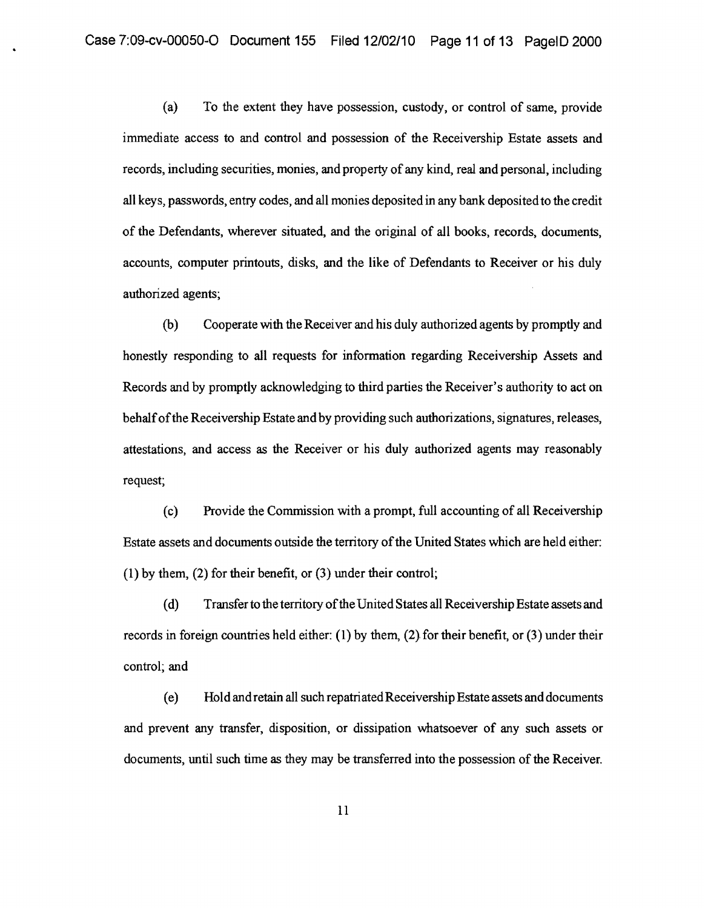(a) To the extent they have possession, custody, or control of same, provide immediate access to and control and possession of the Receivership Estate assets and records, including securities, monies, and property of any kind, real and personal, including all keys, passwords, entry codes, and all monies deposited in any bank deposited to the credit of the Defendants, wherever situated, and the original of all books, records, documents, accounts, computer printouts, disks, and the like of Defendants to Receiver or his duly authorized agents;

(b) Cooperate with the Receiver and his duly authorized agents by promptly and honestly responding to all requests for information regarding Receivership Assets and Records and by promptly acknowledging to third parties the Receiver's authority to act on behalfofthe Receivership Estate and by providing such authorizations, signatures, releases, attestations, and access as the Receiver or his duly authorized agents may reasonably request;

(c) Provide the Commission with a prompt, full accounting of all Receivership Estate assets and documents outside the territory of the United States which are held either: (1) by them, (2) for their benefit, or (3) under their control;

(d) Transfer to the territory ofthe United States all Receivership Estate assets and records in foreign countries held either: (1) by them, (2) for their benefit, or (3) under their control; and

(e) HoI d and retain all such repatriated Receivership Estate assets and documents and prevent any transfer, disposition, or dissipation whatsoever of any such assets or documents, until such time as they may be transferred into the possession of the Receiver.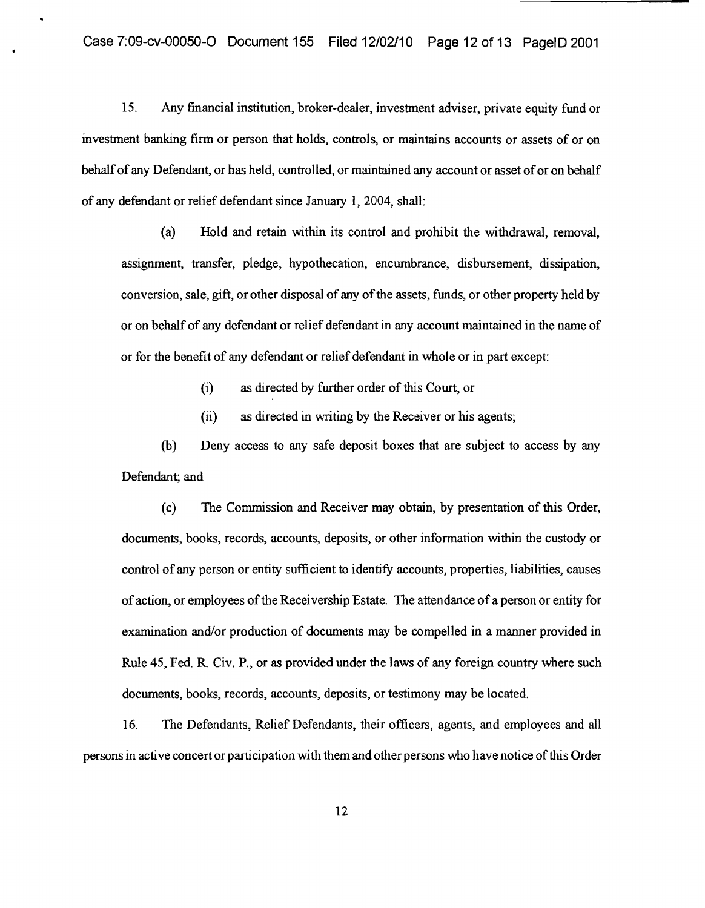IS. Any financial institution, broker-dealer, investment adviser, private equity fund or investment banking firm or person that holds, controls, or maintains accounts or assets of or on behalf of any Defendant, or has held, controlled, or maintained any account or asset of or on behalf of any defendant or relief defendant since January 1,2004, shall:

(a) Hold and retain within its control and prohibit the withdrawal, removal, assignment, transfer, pledge, hypothecation, encumbrance, disbursement, dissipation, conversion, sale, gift, or other disposal of any of the assets, funds, or other property held by or on behalf of any defendant or relief defendant in any account maintained in the name of or for the benefit of any defendant or relief defendant in whole or in part except:

(i) as directed by further order of this Court, or

(ii) as directed in writing by the Receiver or his agents;

(b) Deny access to any safe deposit boxes that are subject to access by any Defendant; and

(c) The Commission and Receiver may obtain, by presentation of this Order, documents, books, records, accounts, deposits, or other infonnation within the custody or control of any person or entity sufficient to identify accounts, properties, liabilities, causes of action, or employees ofthe Receivership Estate. The attendance ofa person or entity for examination and/or production of documents may be compelled in a manner provided in Rule 45, Fed. R. Civ. P., or as provided under the laws of any foreign country where such documents, books, records, accounts, deposits, or testimony may be located.

16. The Defendants, Relief Defendants, their officers, agents, and employees and all persons in active concert orparticipation with them and other persons who have notice ofthis Order